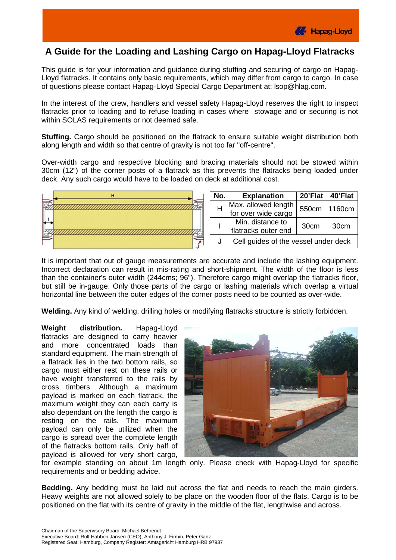

## **A Guide for the Loading and Lashing Cargo on Hapag-Lloyd Flatracks**

This guide is for your information and guidance during stuffing and securing of cargo on Hapag-Lloyd flatracks. It contains only basic requirements, which may differ from cargo to cargo. In case of questions please contact Hapag-Lloyd Special Cargo Department at: [lsop@hlag.com.](mailto:lsop@hlag.com)

In the interest of the crew, handlers and vessel safety Hapag-Lloyd reserves the right to inspect flatracks prior to loading and to refuse loading in cases where stowage and or securing is not within SOLAS requirements or not deemed safe.

**Stuffing.** Cargo should be positioned on the flatrack to ensure suitable weight distribution both along length and width so that centre of gravity is not too far "off-centre".

Over-width cargo and respective blocking and bracing materials should not be stowed within 30cm (12") of the corner posts of a flatrack as this prevents the flatracks being loaded under deck. Any such cargo would have to be loaded on deck at additional cost.

| н |  | No.                 | <b>Explanation</b>                   | 20'Flat          | 40'Flat |
|---|--|---------------------|--------------------------------------|------------------|---------|
|   |  | Max. allowed length |                                      | 550cm   1160cm   |         |
|   |  |                     | for over wide cargo                  |                  |         |
|   |  |                     | Min. distance to                     | 30 <sub>cm</sub> | 30cm    |
|   |  |                     | flatracks outer end                  |                  |         |
|   |  |                     | Cell guides of the vessel under deck |                  |         |

It is important that out of gauge measurements are accurate and include the lashing equipment. Incorrect declaration can result in mis-rating and short-shipment. The width of the floor is less than the container's outer width (244cms; 96"). Therefore cargo might overlap the flatracks floor, but still be in-gauge. Only those parts of the cargo or lashing materials which overlap a virtual horizontal line between the outer edges of the corner posts need to be counted as over-wide.

**Welding.** Any kind of welding, drilling holes or modifying flatracks structure is strictly forbidden.

**Weight distribution.** Hapag-Lloyd flatracks are designed to carry heavier and more concentrated loads than standard equipment. The main strength of a flatrack lies in the two bottom rails, so cargo must either rest on these rails or have weight transferred to the rails by cross timbers. Although a maximum payload is marked on each flatrack, the maximum weight they can each carry is also dependant on the length the cargo is resting on the rails. The maximum payload can only be utilized when the cargo is spread over the complete length of the flatracks bottom rails. Only half of payload is allowed for very short cargo,



for example standing on about 1m length only. Please check with Hapag-Lloyd for specific requirements and or bedding advice.

**Bedding.** Any bedding must be laid out across the flat and needs to reach the main girders. Heavy weights are not allowed solely to be place on the wooden floor of the flats. Cargo is to be positioned on the flat with its centre of gravity in the middle of the flat, lengthwise and across.